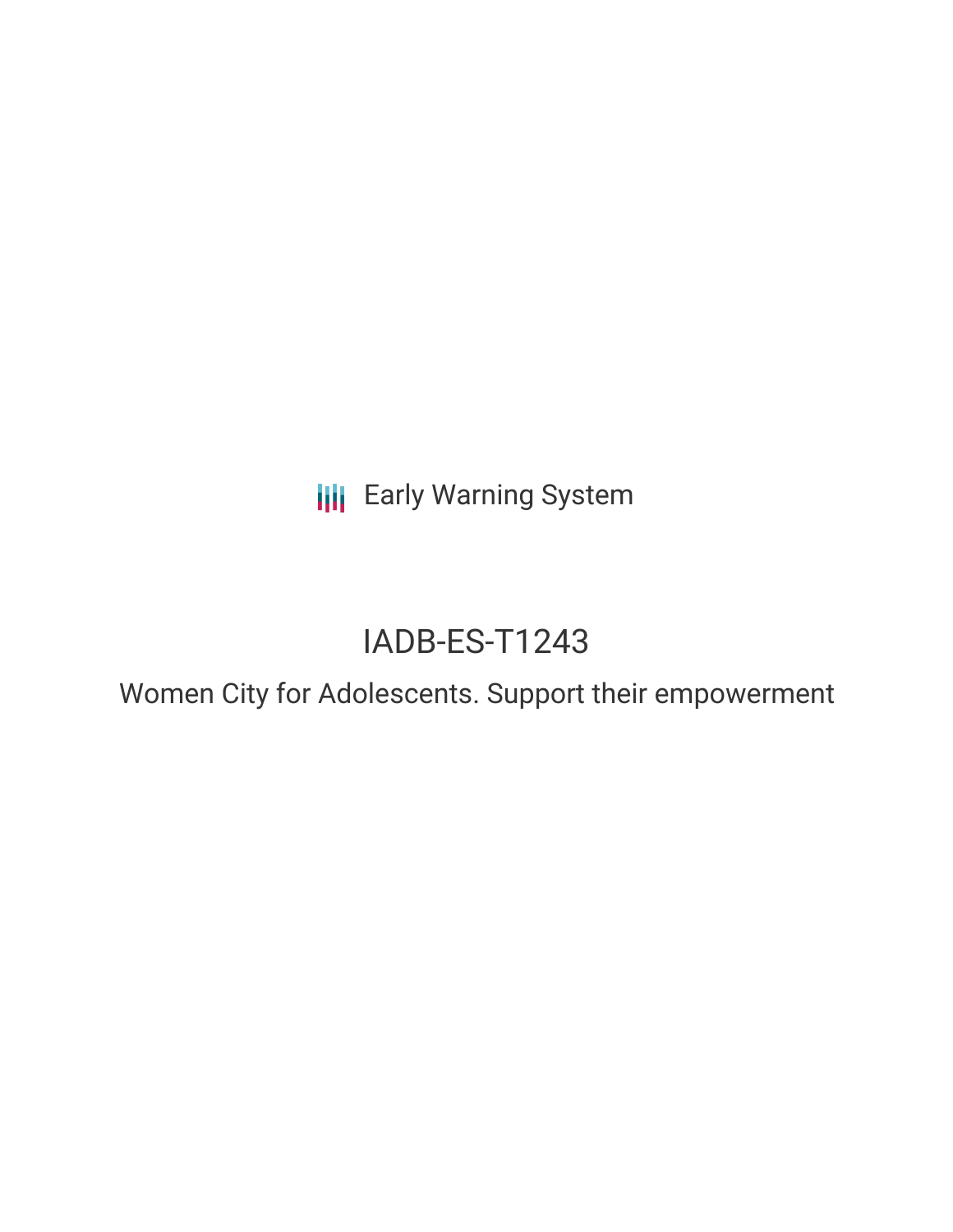**III** Early Warning System

# IADB-ES-T1243

Women City for Adolescents. Support their empowerment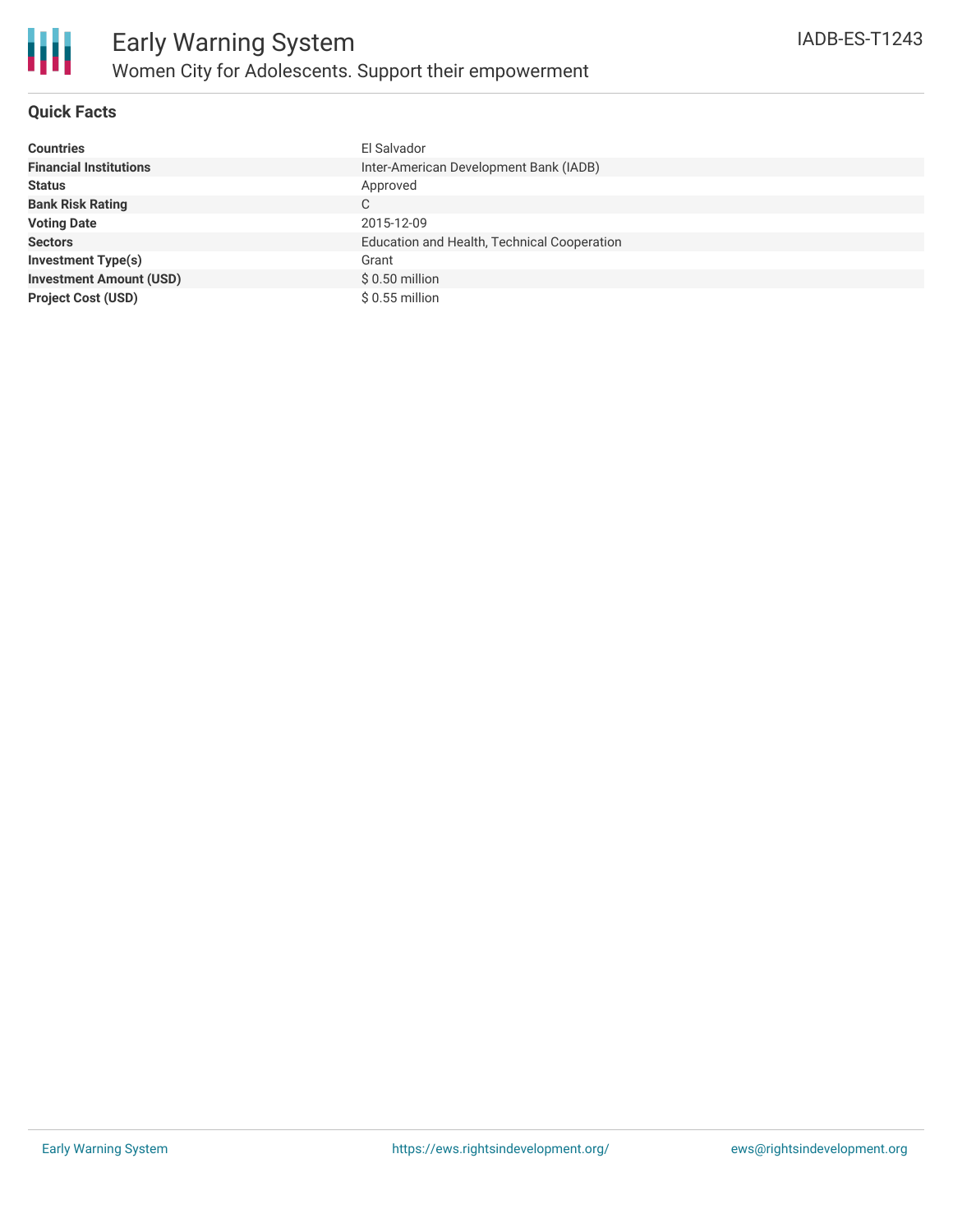

### **Quick Facts**

| <b>Countries</b>               | El Salvador                                 |
|--------------------------------|---------------------------------------------|
| <b>Financial Institutions</b>  | Inter-American Development Bank (IADB)      |
| <b>Status</b>                  | Approved                                    |
| <b>Bank Risk Rating</b>        | C                                           |
| <b>Voting Date</b>             | 2015-12-09                                  |
| <b>Sectors</b>                 | Education and Health, Technical Cooperation |
| <b>Investment Type(s)</b>      | Grant                                       |
| <b>Investment Amount (USD)</b> | $$0.50$ million                             |
| <b>Project Cost (USD)</b>      | $$0.55$ million                             |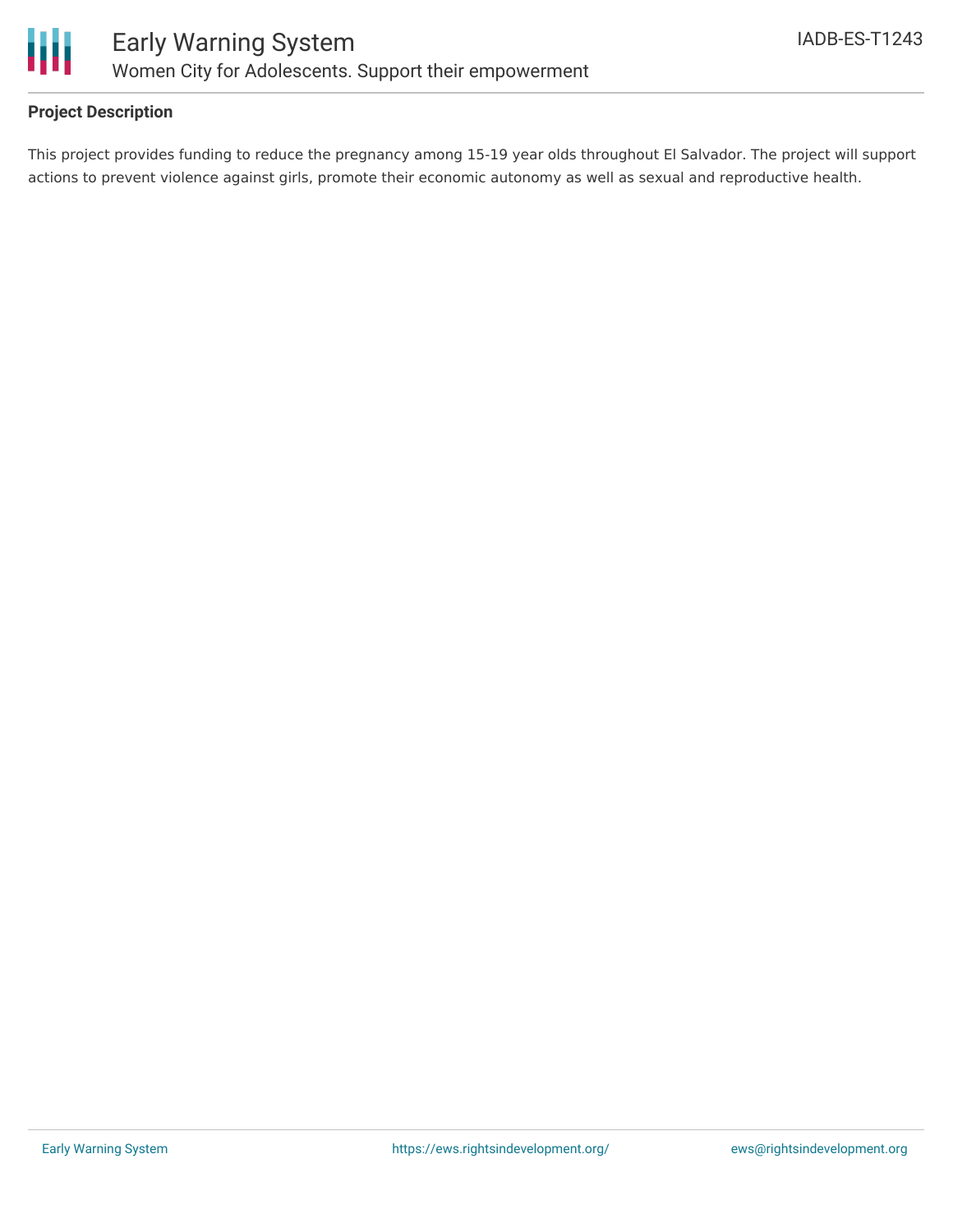

#### **Project Description**

This project provides funding to reduce the pregnancy among 15-19 year olds throughout El Salvador. The project will support actions to prevent violence against girls, promote their economic autonomy as well as sexual and reproductive health.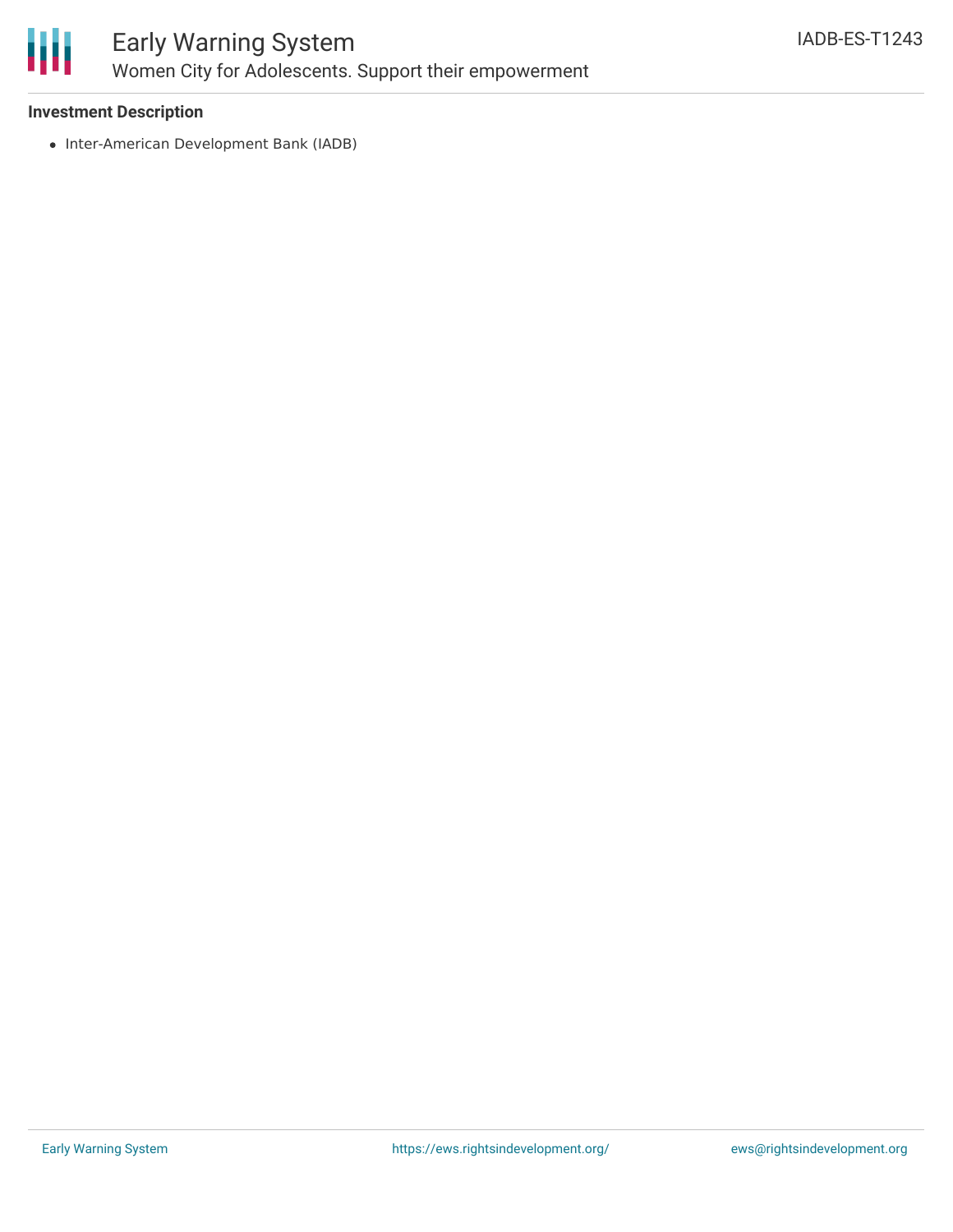

#### **Investment Description**

• Inter-American Development Bank (IADB)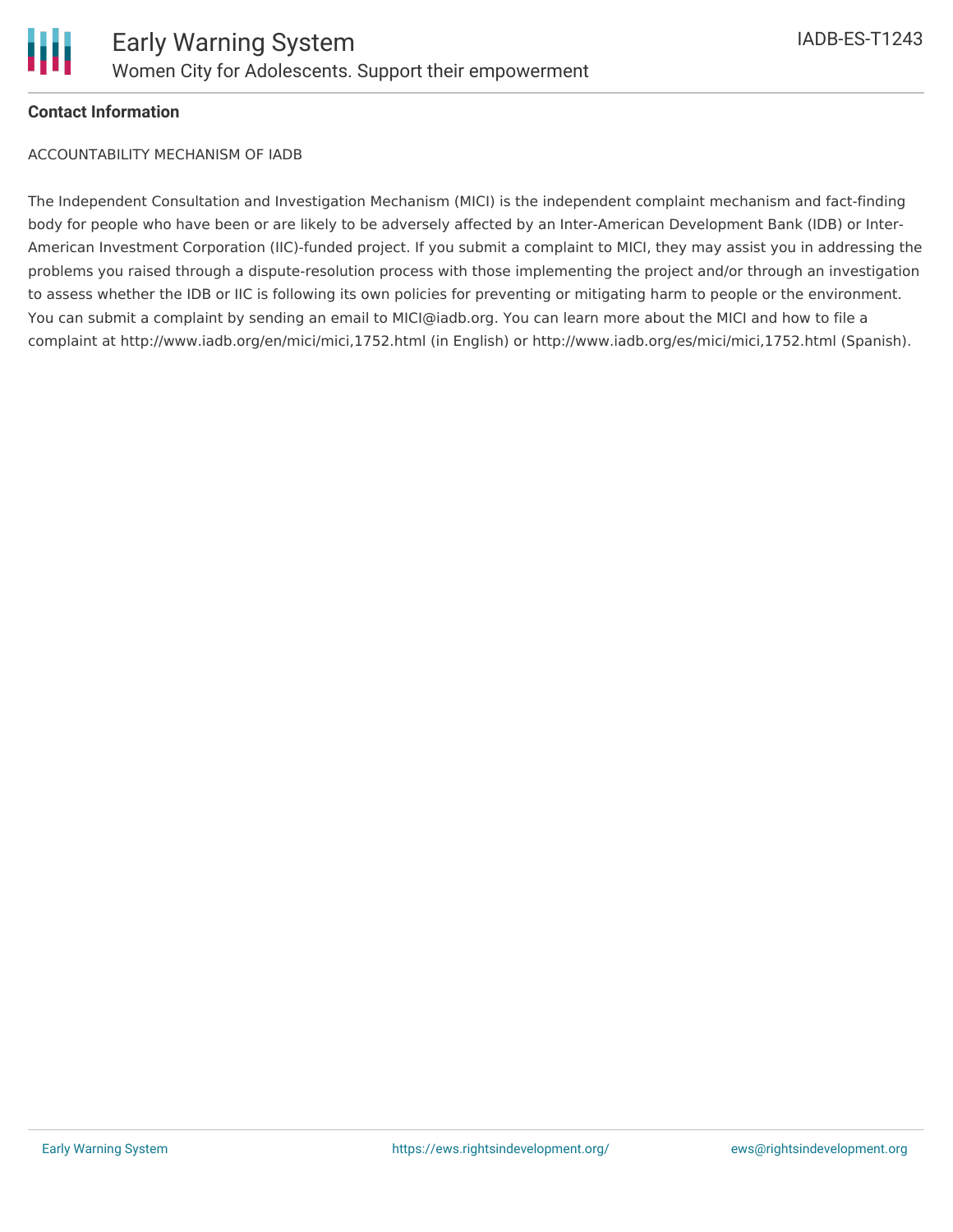

#### **Contact Information**

ACCOUNTABILITY MECHANISM OF IADB

The Independent Consultation and Investigation Mechanism (MICI) is the independent complaint mechanism and fact-finding body for people who have been or are likely to be adversely affected by an Inter-American Development Bank (IDB) or Inter-American Investment Corporation (IIC)-funded project. If you submit a complaint to MICI, they may assist you in addressing the problems you raised through a dispute-resolution process with those implementing the project and/or through an investigation to assess whether the IDB or IIC is following its own policies for preventing or mitigating harm to people or the environment. You can submit a complaint by sending an email to MICI@iadb.org. You can learn more about the MICI and how to file a complaint at http://www.iadb.org/en/mici/mici,1752.html (in English) or http://www.iadb.org/es/mici/mici,1752.html (Spanish).